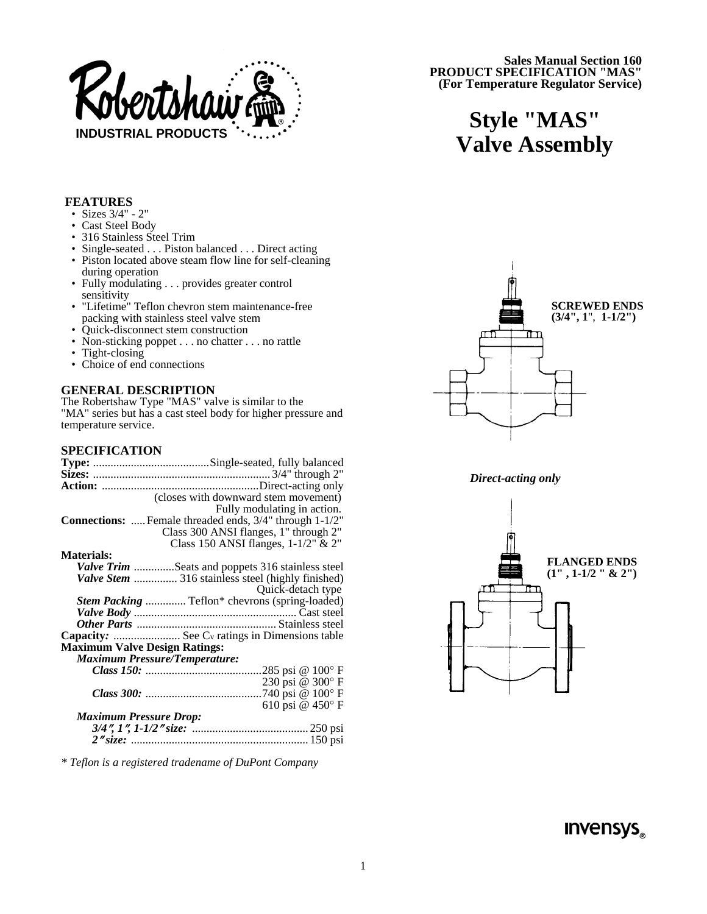

**Sales Manual Section 160 PRODUCT SPECIFICATION "MAS" (For Temperature Regulator Service)** 

# **Style "MAS" Valve Assembly**

### **FEATURES**

- Sizes 3/4" 2"
- Cast Steel Body
- 316 Stainless Steel Trim
- Single-seated . . . Piston balanced . . . Direct acting
- Piston located above steam flow line for self-cleaning during operation
- Fully modulating . . . provides greater control sensitivity
- "Lifetime" Teflon chevron stem maintenance-free packing with stainless steel valve stem
- Quick-disconnect stem construction
- Non-sticking poppet . . . no chatter . . . no rattle
- Tight-closing<br>• Choice of end
- Choice of end connections

#### **GENERAL DESCRIPTION**

The Robertshaw Type "MAS" valve is similar to the "MA" series but has a cast steel body for higher pressure and temperature service.

#### **SPECIFICATION**

|                   | (closes with downward stem movement)                          |
|-------------------|---------------------------------------------------------------|
|                   | Fully modulating in action.                                   |
|                   | <b>Connections:</b> Female threaded ends, 3/4" through 1-1/2" |
|                   | Class 300 ANSI flanges, 1" through 2"                         |
|                   | Class 150 ANSI flanges, 1-1/2" & 2"                           |
| <b>Materials:</b> |                                                               |
|                   | <b>Valve Trim</b> Seats and poppets 316 stainless steel       |
|                   | Valve Stem  316 stainless steel (highly finished)             |
|                   | Quick-detach type                                             |
|                   | Stem Packing  Teflon* chevrons (spring-loaded)                |
|                   |                                                               |
|                   |                                                               |
|                   | Capacity:  See Cv ratings in Dimensions table                 |
|                   | <b>Maximum Valve Design Ratings:</b>                          |
|                   | <b>Maximum Pressure/Temperature:</b>                          |
|                   |                                                               |
|                   | 230 psi @ 300°F                                               |
|                   |                                                               |
|                   | 610 psi @ 450°F                                               |
|                   | <b>Maximum Pressure Drop:</b>                                 |
|                   |                                                               |
|                   |                                                               |
|                   |                                                               |

*\* Teflon is a registered tradename of DuPont Company* 



*Direct-acting only* 



 $INVensys$